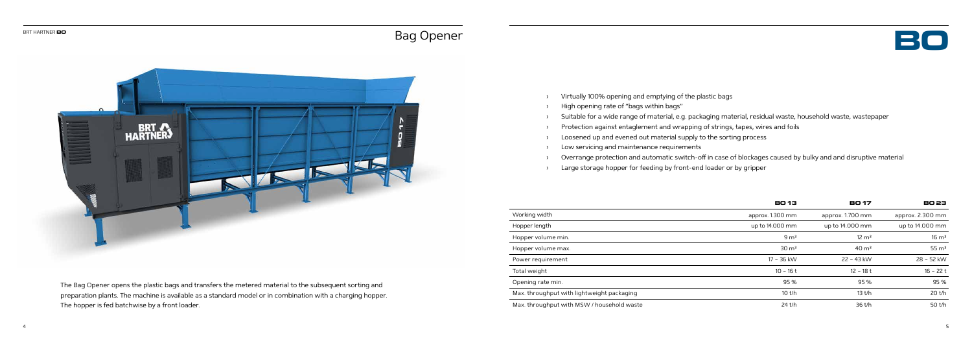

|                                            | <b>BO13</b>      | <b>BO 17</b>     | <b>BO23</b>      |
|--------------------------------------------|------------------|------------------|------------------|
| Working width                              | approx. 1.300 mm | approx. 1.700 mm | approx. 2.300 mm |
| Hopper length                              | up to 14.000 mm  | up to 14.000 mm  | up to 14.000 mm  |
| Hopper volume min.                         | 9 <sub>m³</sub>  | $12 \text{ m}^3$ | $16 \text{ m}^3$ |
| Hopper volume max.                         | $30 \text{ m}^3$ | $40 \text{ m}^3$ | $55 \text{ m}^3$ |
| Power requirement                          | 17 - 36 kW       | $22 - 43$ kW     | 28 - 52 kW       |
| Total weight                               | $10 - 16t$       | $12 - 18t$       | $16 - 22t$       |
| Opening rate min.                          | 95%              | 95 %             | 95%              |
| Max. throughput with lightweight packaging | 10 t/h           | 13 t/h           | 20 t/h           |
| Max. throughput with MSW / household waste | 24 t/h           | 36 t/h           | 50 $t/h$         |

- › Virtually 100% opening and emptying of the plastic bags
- › High opening rate of "bags within bags"
- Suitable for a wide range of material, e.g. packaging material, residual waste, household waste, wastepaper
- Protection against entaglement and wrapping of strings, tapes, wires and foils
- Loosened up and evened out material supply to the sorting process
- Low servicing and maintenance requirements
- Overrange protection and automatic switch-off in case of blockages caused by bulky and and disruptive material Large storage hopper for feeding by front-end loader or by gripper
- 

The Bag Opener opens the plastic bags and transfers the metered material to the subsequent sorting and preparation plants. The machine is available as a standard model or in combination with a charging hopper. The hopper is fed batchwise by a front loader.

## Bag Opener